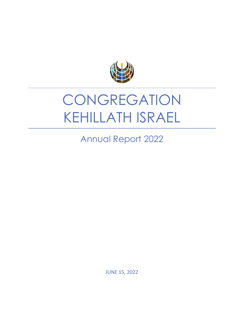

# **CONGREGATION** KEHILLATH ISRAEL

Annual Report 2022

JUNE 15, 2022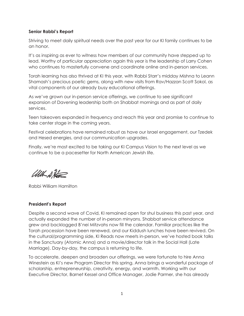### **Senior Rabbi's Report**

Striving to meet daily spiritual needs over the past year for our KI family continues to be an honor.

It's as inspiring as ever to witness how members of our community have stepped up to lead. Worthy of particular appreciation again this year is the leadership of Larry Cohen who continues to masterfully convene and coordinate online and in-person services.

Torah learning has also thrived at KI this year, with Rabbi Starr's midday Mishna to Leann Shamash's precious poetic gems, along with new visits from Rav/Hazzan Scott Sokol, as vital components of our already busy educational offerings.

As we've grown our in-person service offerings, we continue to see significant expansion of Davening leadership both on Shabbat mornings and as part of daily services.

Teen takeovers expanded in frequency and reach this year and promise to continue to take center stage in the coming years.

Festival celebrations have remained robust as have our Israel engagement, our Tzedek and Hesed energies, and our communication upgrades.

Finally, we're most excited to be taking our KI Campus Vision to the next level as we continue to be a pacesetter for North American Jewish life.

With A Hotel

Rabbi William Hamilton

## **President's Report**

Despite a second wave of Covid, KI remained open for shul business this past year, and actually expanded the number of in-person minyans. Shabbat service attendance grew and backlogged B'nei Mitzvahs now fill the calendar. Familiar practices like the Torah procession have been renewed, and our Kiddush lunches have been revived. On the cultural/programming side, KI Reads now meets in-person, we've hosted book talks in the Sanctuary (Atomic Anna) and a movie/director talk in the Social Hall (Late Marriage). Day-by-day, the campus is returning to life.

To accelerate, deepen and broaden our offerings, we were fortunate to hire Anna Winestein as KI's new Program Director this spring. Anna brings a wonderful package of scholarship, entrepreneurship, creativity, energy, and warmth. Working with our Executive Director, Barnet Kessel and Office Manager, Jodie Parmer, she has already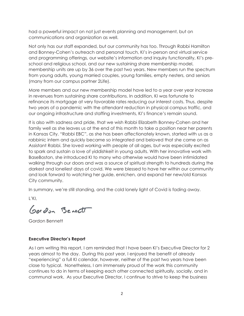had a powerful impact on not just events planning and management, but on communications and organization as well.

Not only has our staff expanded, but our community has too. Through Rabbi Hamilton and Bonney-Cohen's outreach and personal touch, KI's in-person and virtual service and programming offerings, our website's information and inquiry functionality, KI's preschool and religious school, and our new sustaining share membership model, membership units are up by 36 over the past two years. New members run the spectrum from young adults, young married couples, young families, empty nesters, and seniors (many from our campus partner 2Life).

More members and our new membership model have led to a year over year increase in revenues from sustaining share contributions. In addition, KI was fortunate to refinance its mortgage at very favorable rates reducing our interest costs. Thus, despite two years of a pandemic with the attendant reduction in physical campus traffic, and our ongoing infrastructure and staffing investments, KI's finance's remain sound.

It is also with sadness and pride, that we wish Rabbi Elizabeth Bonney-Cohen and her family well as she leaves us at the end of this month to take a position near her parents in Kansas City. "Rabbi EBC", as she has been affectionately known, started with us as a rabbinic intern and quickly became so integrated and beloved that she came on as Assistant Rabbi. She loved working with people of all ages, but was especially excited to spark and sustain a love of yiddishkeit in young adults. With her innovative work with BaseBoston, she introduced KI to many who otherwise would have been intimidated walking through our doors and was a source of spiritual strength to hundreds during the darkest and loneliest days of covid. We were blessed to have her within our community and look forward to watching her guide, enrichen, and expand her new/old Kansas City community.

In summary, we're still standing, and the cold lonely light of Covid is fading away.

L'KI,

Gordon Bennett

Gordon Bennett

## **Executive Director's Report**

As I am writing this report, I am reminded that I have been KI's Executive Director for 2 years almost to the day. During this past year, I enjoyed the benefit of already "experiencing" a full KI calendar, however, neither of the past two years have been close to typical. Nonetheless, I am immensely proud of the work this community continues to do in terms of keeping each other connected spiritually, socially, and in communal work. As your Executive Director, I continue to strive to keep the business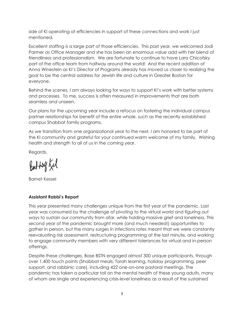side of KI operating at efficiencies in support of these connections and work I just mentioned.

Excellent staffing is a large part of those efficiencies. This past year, we welcomed Jodi Parmer as Office Manager and she has been an enormous value add with her blend of friendliness and professionalism. We are fortunate to continue to have Lara Chicofsky part of the office team from halfway around the world! And the recent addition of Anna Winestein as KI's Director of Programs already has moved us closer to realizing the goal to be the central address for Jewish life and culture in Greater Boston for everyone.

Behind the scenes, I am always looking for ways to support KI's work with better systems and processes. To me, success is often measured in improvements that are both seamless and unseen.

Our plans for the upcoming year include a refocus on fostering the individual campus partner relationships for benefit of the entire whole, such as the recently established campus Shabbat family programs.

As we transition from one organizational year to the next, I am honored to be part of the KI community and grateful for your continued warm welcome of my family. Wishing health and strength to all of us in the coming year.

Regards,

Battog Kel

Barnet Kessel

# **Assistant Rabbi's Report**

This year presented many challenges unique from the first year of the pandemic. Last year was consumed by the challenge of pivoting to the virtual world and figuring out ways to sustain our community from afar, while holding massive grief and loneliness. This second year of the pandemic brought more (and much needed!) opportunities to gather in person, but the many surges in infections rates meant that we were constantly reevaluating risk assessment, restructuring programming at the last minute, and working to engage community members with very different tolerances for virtual and in-person offerings.

Despite these challenges, Base BSTN engaged almost 300 unique participants, through over 1,400 touch points (Shabbat meals, Torah learning, holiday programming, peer support, and rabbinic care), including 422 one-on-one pastoral meetings. The pandemic has taken a particular toll on the mental health of these young adults, many of whom are single and experiencing crisis-level loneliness as a result of the sustained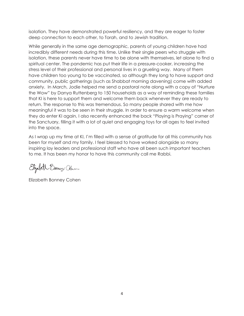isolation. They have demonstrated powerful resiliency, and they are eager to foster deep connection to each other, to Torah, and to Jewish tradition.

While generally in the same age demographic, parents of young children have had incredibly different needs during this time. Unlike their single peers who struggle with isolation, these parents never have time to be alone with themselves, let alone to find a spiritual center. The pandemic has put their life in a pressure-cooker, increasing the stress level of their professional and personal lives in a grueling way. Many of them have children too young to be vaccinated, so although they long to have support and community, public gatherings (such as Shabbat morning davening) come with added anxiety. In March, Jodie helped me send a pastoral note along with a copy of "Nurture the Wow" by Danya Ruttenberg to 150 households as a way of reminding these families that KI is here to support them and welcome them back whenever they are ready to return. The response to this was tremendous. So many people shared with me how meaningful it was to be seen in their struggle. In order to ensure a warm welcome when they do enter KI again, I also recently enhanced the back "Playing is Praying" corner of the Sanctuary, filling it with a lot of quiet and engaging toys for all ages to feel invited into the space.

As I wrap up my time at KI, I'm filled with a sense of gratitude for all this community has been for myself and my family. I feel blessed to have worked alongside so many inspiring lay leaders and professional staff who have all been such important teachers to me. It has been my honor to have this community call me Rabbi.

Ebjabeth Bonnez-Com

Elizabeth Bonney Cohen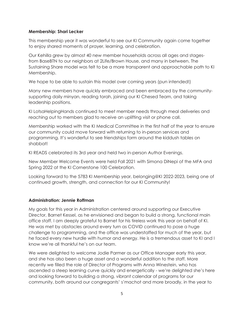#### **Membership: Shari Lecker**

This membership year it was wonderful to see our KI Community again come together to enjoy shared moments of prayer, learning, and celebration.

Our Kehilla grew by almost 40 new member households across all ages and stagesfrom BaseBTN to our neighbors at 2Life/Brown House, and many in between. The Sustaining Share model was felt to be a more transparent and approachable path to KI Membership.

We hope to be able to sustain this model over coming years (pun intended!)

Many new members have quickly embraced and been embraced by the communitysupporting daily minyan, reading torah, joining our KI Chesed Team, and taking leadership positions.

KI LotsaHelpingHands continued to meet member needs through meal deliveries and reaching out to members glad to receive an uplifting visit or phone call.

Membership worked with the KI Medical Committee in the first half of the year to ensure our community could move forward with returning to in-person services and programming. It's wonderful to see friendships form around the kiddush tables on shabbat!

KI READS celebrated its 3rd year and held two in-person Author Evenings.

New Member Welcome Events were held Fall 2021 with Simona DiNepi of the MFA and Spring 2022 at the KI Cornerstone 100 Celebration.

Looking forward to the 5783 KI Membership year, belonging@KI 2022-2023, being one of continued growth, strength, and connection for our KI Community!

## **Administration: Jennie Roffman**

My goals for this year in Administration centered around supporting our Executive Director, Barnet Kessel, as he envisioned and began to build a strong, functional main office staff. I am deeply grateful to Barnet for his tireless work this year on behalf of KI. He was met by obstacles around every turn as COVID continued to pose a huge challenge to programming, and the office was understaffed for much of the year, but he faced every new hurdle with humor and energy. He is a tremendous asset to KI and I know we're all thankful he's on our team.

We were delighted to welcome Jodie Parmer as our Office Manager early this year, and she has also been a huge asset and a wonderful addition to the staff. More recently we filled the role of Director of Programs with Anna Winestein, who has ascended a steep learning curve quickly and energetically - we're delighted she's here and looking forward to building a strong, vibrant calendar of programs for our community, both around our congregants' s'machot and more broadly, in the year to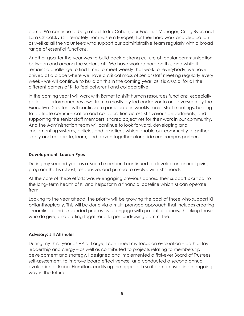come. We continue to be grateful to Ira Cohen, our Facilities Manager, Craig Byer, and Lara Chicofsky (still remotely from Eastern Europe!) for their hard work and dedication, as well as all the volunteers who support our administrative team regularly with a broad range of essential functions.

Another goal for the year was to build back a strong culture of regular communication between and among the senior staff. We have worked hard on this, and while it remains a challenge to find times to meet weekly that work for everybody, we have arrived at a place where we have a critical mass of senior staff meeting regularly every week - we will continue to build on this in the coming year, as it is crucial for all the different corners of KI to feel coherent and collaborative.

In the coming year I will work with Barnet to shift human resources functions, especially periodic performance reviews, from a mostly lay-led endeavor to one overseen by the Executive Director. I will continue to participate in weekly senior staff meetings, helping to facilitate communication and collaboration across KI's various departments, and supporting the senior staff members' shared objectives for their work in our community. And the Administration team will continue to look forward, developing and implementing systems, policies and practices which enable our community to gather safely and celebrate, learn, and daven together alongside our campus partners.

## **Development: Lauren Pyes**

During my second year as a Board member, I continued to develop an annual giving program that is robust, responsive, and primed to evolve with KI's needs.

At the core of these efforts was re-engaging previous donors. Their support is critical to the long- term health of KI and helps form a financial baseline which KI can operate from.

Looking to the year ahead, the priority will be growing the pool of those who support KI philanthropically. This will be done via a multi-pronged approach that includes creating streamlined and expanded processes to engage with potential donors, thanking those who do give, and putting together a larger fundraising committee.

#### **Advisory: Jill Altshuler**

During my third year as VP at Large, I continued my focus on evaluation – both of lay leadership and clergy – as well as contributed to projects relating to membership, development and strategy. I designed and implemented a first-ever Board of Trustees self-assessment, to improve board effectiveness, and conducted a second annual evaluation of Rabbi Hamilton, codifying the approach so it can be used in an ongoing way in the future.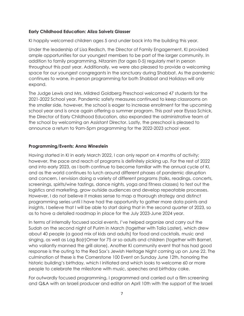## **Early Childhood Education: Aliza Saivetz Glasser**

KI happily welcomed children ages 5 and under back into the building this year.

Under the leadership of Lisa Redisch, the Director of Family Engagement, KI provided ample opportunities for our youngest members to be part of the larger community. In addition to family programming, Nitzanim (for ages 0-5) regularly met in person throughout this past year. Additionally, we were also pleased to provide a welcoming space for our youngest congregants in the sanctuary during Shabbat. As the pandemic continues to wane, in-person programming for both Shabbat and Holidays will only expand.

The Judge Lewis and Mrs. Mildred Goldberg Preschool welcomed 47 students for the 2021-2022 School year. Pandemic safety measures continued to keep classrooms on the smaller side, however, the school is eager to increase enrollment for the upcoming school year and is once again offering a summer program. This past year Elyssa Schick, the Director of Early Childhood Education, also expanded the administrative team of the school by welcoming an Assistant Director. Lastly, the preschool is pleased to announce a return to 9am-5pm programming for the 2022-2023 school year.

## **Programming/Events: Anna Winestein**

Having started in KI in early March 2022, I can only report on 4 months of activity; however, the pace and reach of programs is definitely picking up. For the rest of 2022 and into early 2023, as I both continue to become familiar with the annual cycle of KI, and as the world continues to lurch around different phases of pandemic disruption and concern, I envision doing a variety of different programs (talks, readings, concerts, screenings, spirits/wine tastings, dance nights, yoga and fitness classes) to test out the logistics and marketing, grow outside audiences and develop repeatable processes. However, I do not believe it makes sense to map a thorough strategy and distinct programming series until I have had the opportunity to gather more data points and insights. I believe that I will be able to start doing that in the second quarter of 2023, so as to have a detailed roadmap in place for the July 2023-June 2024 year.

In terms of internally focused social events, I've helped organize and carry out the Sudah on the second night of Purim in March (together with Talia Laster), which drew about 40 people (a good mix of kids and adults) for food and cocktails, music and singing, as well as Lag Ba(r)Omer for 75 or so adults and children (together with Barnet, who valiantly manned the grill alone). Another KI community event that has had good response is the outing to the Red Sox's Jewish Heritage Night coming up on June 22. The culmination of these is the Cornerstone 100 Event on Sunday June 12th, honoring the historic building's birthday, which I initiated and which looks to welcome 60 or more people to celebrate the milestone with music, speeches and birthday cake.

For outwardly focused programming, I programmed and carried out a film screening and Q&A with an Israeli producer and editor on April 10th with the support of the Israeli